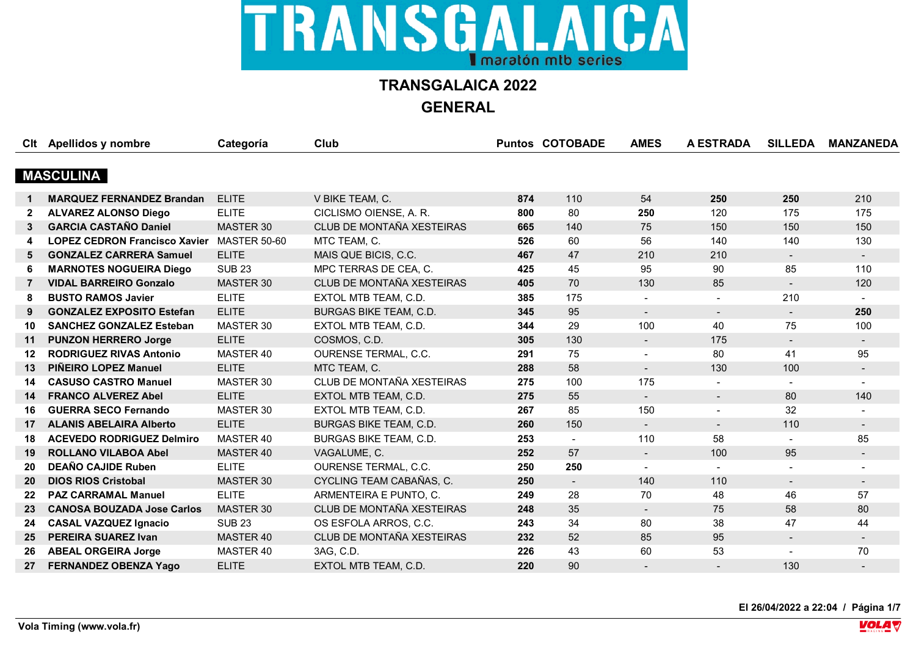

**GENERAL**

|                 | Clt Apellidos y nombre               | Categoría           | <b>Club</b>                   |     | <b>Puntos COTOBADE</b> | <b>AMES</b>              | A ESTRADA      | <b>SILLEDA</b>           | <b>MANZANEDA</b> |
|-----------------|--------------------------------------|---------------------|-------------------------------|-----|------------------------|--------------------------|----------------|--------------------------|------------------|
|                 |                                      |                     |                               |     |                        |                          |                |                          |                  |
|                 | <b>MASCULINA</b>                     |                     |                               |     |                        |                          |                |                          |                  |
|                 | <b>MARQUEZ FERNANDEZ Brandan</b>     | <b>ELITE</b>        | V BIKE TEAM, C.               | 874 | 110                    | 54                       | 250            | 250                      | 210              |
| $\mathbf{2}$    | <b>ALVAREZ ALONSO Diego</b>          | <b>ELITE</b>        | CICLISMO OIENSE, A. R.        | 800 | 80                     | 250                      | 120            | 175                      | 175              |
| 3               | <b>GARCIA CASTAÑO Daniel</b>         | MASTER 30           | CLUB DE MONTAÑA XESTEIRAS     | 665 | 140                    | 75                       | 150            | 150                      | 150              |
|                 | <b>LOPEZ CEDRON Francisco Xavier</b> | <b>MASTER 50-60</b> | MTC TEAM, C.                  | 526 | 60                     | 56                       | 140            | 140                      | 130              |
| 5               | <b>GONZALEZ CARRERA Samuel</b>       | <b>ELITE</b>        | MAIS QUE BICIS, C.C.          | 467 | 47                     | 210                      | 210            | $\blacksquare$           |                  |
| 6               | <b>MARNOTES NOGUEIRA Diego</b>       | <b>SUB 23</b>       | MPC TERRAS DE CEA, C.         | 425 | 45                     | 95                       | 90             | 85                       | 110              |
| $\overline{7}$  | <b>VIDAL BARREIRO Gonzalo</b>        | MASTER 30           | CLUB DE MONTAÑA XESTEIRAS     | 405 | 70                     | 130                      | 85             | $\blacksquare$           | 120              |
| 8               | <b>BUSTO RAMOS Javier</b>            | <b>ELITE</b>        | EXTOL MTB TEAM, C.D.          | 385 | 175                    |                          |                | 210                      |                  |
| 9               | <b>GONZALEZ EXPOSITO Estefan</b>     | <b>ELITE</b>        | <b>BURGAS BIKE TEAM, C.D.</b> | 345 | 95                     | $\blacksquare$           | $\blacksquare$ | $\blacksquare$           | 250              |
| 10              | <b>SANCHEZ GONZALEZ Esteban</b>      | MASTER 30           | EXTOL MTB TEAM, C.D.          | 344 | 29                     | 100                      | 40             | 75                       | 100              |
| 11              | <b>PUNZON HERRERO Jorge</b>          | <b>ELITE</b>        | COSMOS, C.D.                  | 305 | 130                    | $\blacksquare$           | 175            | $\blacksquare$           | $\blacksquare$   |
| 12              | <b>RODRIGUEZ RIVAS Antonio</b>       | MASTER 40           | OURENSE TERMAL, C.C.          | 291 | 75                     | $\blacksquare$           | 80             | 41                       | 95               |
| 13              | <b>PIÑEIRO LOPEZ Manuel</b>          | <b>ELITE</b>        | MTC TEAM, C.                  | 288 | 58                     | $\blacksquare$           | 130            | 100                      |                  |
| 14              | <b>CASUSO CASTRO Manuel</b>          | MASTER 30           | CLUB DE MONTAÑA XESTEIRAS     | 275 | 100                    | 175                      | $\blacksquare$ | $\blacksquare$           |                  |
| 14              | <b>FRANCO ALVEREZ Abel</b>           | <b>ELITE</b>        | EXTOL MTB TEAM, C.D.          | 275 | 55                     | $\blacksquare$           | $\blacksquare$ | 80                       | 140              |
| 16              | <b>GUERRA SECO Fernando</b>          | MASTER 30           | EXTOL MTB TEAM, C.D.          | 267 | 85                     | 150                      | $\sim$         | 32                       |                  |
| 17 <sup>2</sup> | <b>ALANIS ABELAIRA Alberto</b>       | <b>ELITE</b>        | BURGAS BIKE TEAM, C.D.        | 260 | 150                    | $\sim$                   | $\sim$         | 110                      | $\blacksquare$   |
| 18              | <b>ACEVEDO RODRIGUEZ Delmiro</b>     | MASTER 40           | <b>BURGAS BIKE TEAM, C.D.</b> | 253 | $\blacksquare$         | 110                      | 58             |                          | 85               |
| 19              | <b>ROLLANO VILABOA Abel</b>          | MASTER 40           | VAGALUME, C.                  | 252 | 57                     | $\blacksquare$           | 100            | 95                       | $\blacksquare$   |
| 20              | <b>DEAÑO CAJIDE Ruben</b>            | <b>ELITE</b>        | OURENSE TERMAL, C.C.          | 250 | 250                    | $\blacksquare$           |                |                          |                  |
| 20              | <b>DIOS RIOS Cristobal</b>           | MASTER 30           | CYCLING TEAM CABAÑAS, C.      | 250 | $\blacksquare$         | 140                      | 110            | $\sim$                   | $\sim$           |
| 22              | <b>PAZ CARRAMAL Manuel</b>           | <b>ELITE</b>        | ARMENTEIRA E PUNTO, C.        | 249 | 28                     | 70                       | 48             | 46                       | 57               |
| 23              | <b>CANOSA BOUZADA Jose Carlos</b>    | MASTER 30           | CLUB DE MONTAÑA XESTEIRAS     | 248 | 35                     | $\overline{\phantom{a}}$ | 75             | 58                       | 80               |
| 24              | <b>CASAL VAZQUEZ Ignacio</b>         | <b>SUB 23</b>       | OS ESFOLA ARROS, C.C.         | 243 | 34                     | 80                       | 38             | 47                       | 44               |
| 25              | <b>PEREIRA SUAREZ Ivan</b>           | MASTER 40           | CLUB DE MONTAÑA XESTEIRAS     | 232 | 52                     | 85                       | 95             | $\overline{\phantom{0}}$ |                  |
| 26              | <b>ABEAL ORGEIRA Jorge</b>           | MASTER 40           | 3AG, C.D.                     | 226 | 43                     | 60                       | 53             | $\overline{a}$           | 70               |
| 27              | <b>FERNANDEZ OBENZA Yago</b>         | <b>ELITE</b>        | EXTOL MTB TEAM, C.D.          | 220 | 90                     |                          |                | 130                      |                  |

**El 26/04/2022 a 22:04 / Página 1/7**

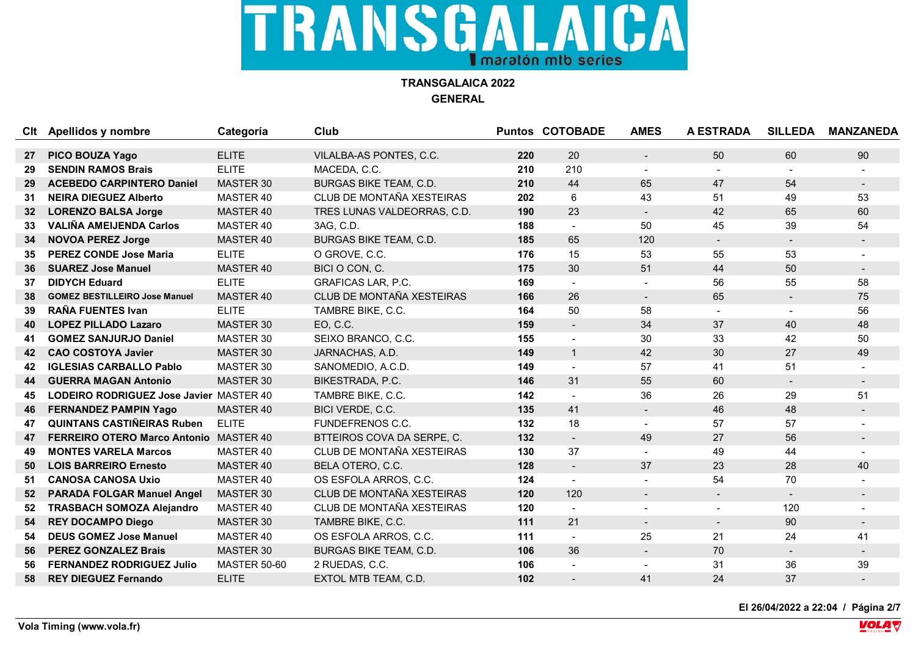**TRANSGALAICA 2022 GENERAL**

|                 | Clt Apellidos y nombre                        | Categoría           | Club                          |     | <b>Puntos COTOBADE</b>   | <b>AMES</b>              | <b>A ESTRADA</b> | <b>SILLEDA</b> | <b>MANZANEDA</b> |
|-----------------|-----------------------------------------------|---------------------|-------------------------------|-----|--------------------------|--------------------------|------------------|----------------|------------------|
|                 |                                               |                     |                               |     |                          |                          |                  |                |                  |
| 27              | PICO BOUZA Yago                               | <b>ELITE</b>        | VILALBA-AS PONTES, C.C.       | 220 | 20                       |                          | 50               | 60             | 90               |
|                 | <b>SENDIN RAMOS Brais</b>                     | <b>ELITE</b>        | MACEDA, C.C.                  | 210 | 210                      | $\blacksquare$           | $\blacksquare$   |                |                  |
| 29              | <b>ACEBEDO CARPINTERO Daniel</b>              | MASTER 30           | <b>BURGAS BIKE TEAM, C.D.</b> | 210 | 44                       | 65                       | 47               | 54             |                  |
| 31              | <b>NEIRA DIEGUEZ Alberto</b>                  | MASTER 40           | CLUB DE MONTAÑA XESTEIRAS     | 202 | 6                        | 43                       | 51               | 49             | 53               |
| 32 <sub>2</sub> | <b>LORENZO BALSA Jorge</b>                    | MASTER 40           | TRES LUNAS VALDEORRAS, C.D.   | 190 | 23                       | $\blacksquare$           | 42               | 65             | 60               |
| 33              | <b>VALIÑA AMEIJENDA Carlos</b>                | MASTER 40           | 3AG, C.D.                     | 188 | $\blacksquare$           | 50                       | 45               | 39             | 54               |
| 34              | <b>NOVOA PEREZ Jorge</b>                      | MASTER 40           | BURGAS BIKE TEAM, C.D.        | 185 | 65                       | 120                      | $\blacksquare$   | $\blacksquare$ |                  |
| 35              | <b>PEREZ CONDE Jose Maria</b>                 | <b>ELITE</b>        | O GROVE, C.C.                 | 176 | 15                       | 53                       | 55               | 53             |                  |
| 36              | <b>SUAREZ Jose Manuel</b>                     | MASTER 40           | BICI O CON, C.                | 175 | 30                       | 51                       | 44               | 50             |                  |
| 37              | <b>DIDYCH Eduard</b>                          | <b>ELITE</b>        | GRAFICAS LAR, P.C.            | 169 | $\blacksquare$           |                          | 56               | 55             | 58               |
| 38              | <b>GOMEZ BESTILLEIRO Jose Manuel</b>          | MASTER 40           | CLUB DE MONTAÑA XESTEIRAS     | 166 | 26                       | $\sim$                   | 65               | $\blacksquare$ | 75               |
| 39              | <b>RAÑA FUENTES Ivan</b>                      | <b>ELITE</b>        | TAMBRE BIKE, C.C.             | 164 | 50                       | 58                       |                  |                | 56               |
| 40              | <b>LOPEZ PILLADO Lazaro</b>                   | MASTER 30           | EO, C.C.                      | 159 | $\overline{\phantom{a}}$ | 34                       | 37               | 40             | 48               |
| 41              | <b>GOMEZ SANJURJO Daniel</b>                  | MASTER 30           | SEIXO BRANCO, C.C.            | 155 | $\overline{\phantom{a}}$ | 30                       | 33               | 42             | 50               |
| 42              | <b>CAO COSTOYA Javier</b>                     | MASTER 30           | JARNACHAS, A.D.               | 149 | $\mathbf{1}$             | 42                       | 30               | 27             | 49               |
| 42              | <b>IGLESIAS CARBALLO Pablo</b>                | MASTER 30           | SANOMEDIO, A.C.D.             | 149 | $\overline{a}$           | 57                       | 41               | 51             |                  |
| 44              | <b>GUERRA MAGAN Antonio</b>                   | MASTER 30           | BIKESTRADA, P.C.              | 146 | 31                       | 55                       | 60               | $\blacksquare$ |                  |
| 45              | LODEIRO RODRIGUEZ Jose Javier MASTER 40       |                     | TAMBRE BIKE, C.C.             | 142 |                          | 36                       | 26               | 29             | 51               |
| 46              | <b>FERNANDEZ PAMPIN Yago</b>                  | MASTER 40           | BICI VERDE, C.C.              | 135 | 41                       | $\blacksquare$           | 46               | 48             |                  |
| 47              | <b>QUINTANS CASTIÑEIRAS Ruben</b>             | <b>ELITE</b>        | FUNDEFRENOS C.C.              | 132 | 18                       | $\blacksquare$           | 57               | 57             |                  |
| 47              | <b>FERREIRO OTERO Marco Antonio MASTER 40</b> |                     | BTTEIROS COVA DA SERPE, C.    | 132 | $\blacksquare$           | 49                       | 27               | 56             |                  |
| 49              | <b>MONTES VARELA Marcos</b>                   | MASTER 40           | CLUB DE MONTAÑA XESTEIRAS     | 130 | 37                       |                          | 49               | 44             |                  |
| 50              | <b>LOIS BARREIRO Ernesto</b>                  | MASTER 40           | BELA OTERO, C.C.              | 128 | $\sim$                   | 37                       | 23               | 28             | 40               |
| 51              | <b>CANOSA CANOSA Uxio</b>                     | MASTER 40           | OS ESFOLA ARROS, C.C.         | 124 | $\blacksquare$           |                          | 54               | 70             |                  |
| 52              | <b>PARADA FOLGAR Manuel Angel</b>             | MASTER 30           | CLUB DE MONTAÑA XESTEIRAS     | 120 | 120                      | $\sim$                   | $\blacksquare$   | $\sim$         |                  |
| 52              | <b>TRASBACH SOMOZA Alejandro</b>              | MASTER 40           | CLUB DE MONTAÑA XESTEIRAS     | 120 | $\blacksquare$           | $\blacksquare$           | $\blacksquare$   | 120            |                  |
| 54              | <b>REY DOCAMPO Diego</b>                      | MASTER 30           | TAMBRE BIKE, C.C.             | 111 | 21                       | $\overline{\phantom{0}}$ | $\blacksquare$   | 90             | $\blacksquare$   |
| 54              | <b>DEUS GOMEZ Jose Manuel</b>                 | MASTER 40           | OS ESFOLA ARROS, C.C.         | 111 | $\overline{a}$           | 25                       | 21               | 24             | 41               |
| 56              | <b>PEREZ GONZALEZ Brais</b>                   | MASTER 30           | BURGAS BIKE TEAM, C.D.        | 106 | 36                       | $\blacksquare$           | 70               |                |                  |
| 56              | <b>FERNANDEZ RODRIGUEZ Julio</b>              | <b>MASTER 50-60</b> | 2 RUEDAS, C.C.                | 106 |                          | $\sim$                   | 31               | 36             | 39               |
| 58              | <b>REY DIEGUEZ Fernando</b>                   | <b>ELITE</b>        | EXTOL MTB TEAM, C.D.          | 102 |                          | 41                       | 24               | 37             |                  |

**El 26/04/2022 a 22:04 / Página 2/7**

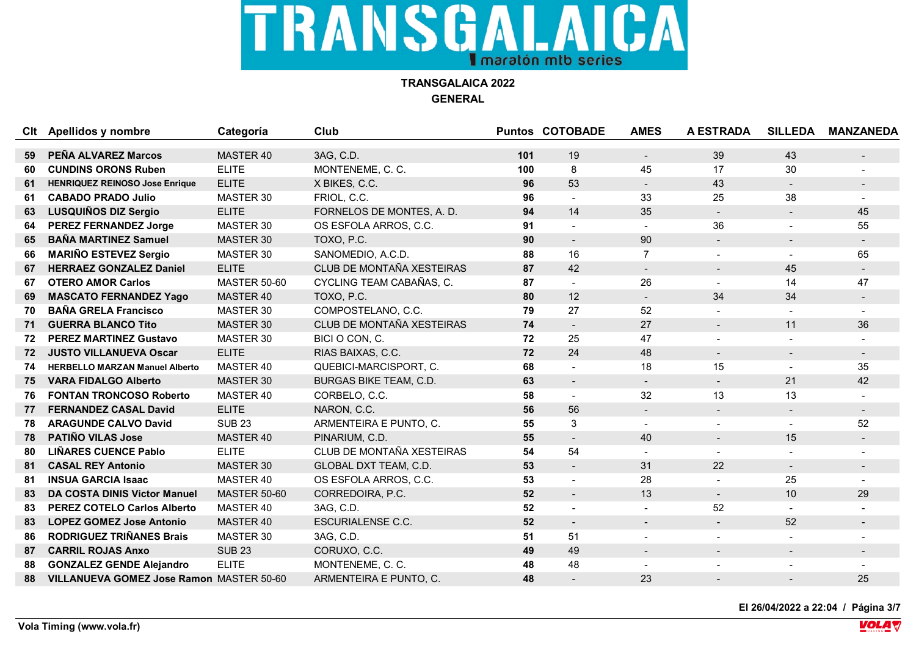**TRANSGALAICA 2022 GENERAL**

|    | Clt Apellidos y nombre                   | Categoría           | Club                      |     | <b>Puntos COTOBADE</b>   | <b>AMES</b>              | <b>A ESTRADA</b> | <b>SILLEDA</b>           | <b>MANZANEDA</b> |
|----|------------------------------------------|---------------------|---------------------------|-----|--------------------------|--------------------------|------------------|--------------------------|------------------|
|    |                                          |                     |                           |     |                          |                          |                  |                          |                  |
| 59 | PEÑA ALVAREZ Marcos                      | MASTER 40           | 3AG, C.D.                 | 101 | 19                       | $\overline{\phantom{a}}$ | 39               | 43                       |                  |
| 60 | <b>CUNDINS ORONS Ruben</b>               | <b>ELITE</b>        | MONTENEME, C. C.          | 100 | 8                        | 45                       | 17               | 30                       |                  |
| 61 | <b>HENRIQUEZ REINOSO Jose Enrique</b>    | <b>ELITE</b>        | X BIKES, C.C.             | 96  | 53                       | $\sim$                   | 43               | $\sim$                   |                  |
| 61 | <b>CABADO PRADO Julio</b>                | MASTER 30           | FRIOL, C.C.               | 96  |                          | 33                       | 25               | 38                       |                  |
| 63 | <b>LUSQUIÑOS DIZ Sergio</b>              | <b>ELITE</b>        | FORNELOS DE MONTES, A. D. | 94  | 14                       | 35                       | $\blacksquare$   | $\blacksquare$           | 45               |
| 64 | <b>PEREZ FERNANDEZ Jorge</b>             | MASTER 30           | OS ESFOLA ARROS, C.C.     | 91  |                          | $\sim$                   | 36               | $\overline{\phantom{0}}$ | 55               |
| 65 | <b>BAÑA MARTINEZ Samuel</b>              | MASTER 30           | TOXO, P.C.                | 90  | $\blacksquare$           | 90                       |                  |                          |                  |
| 66 | <b>MARIÑO ESTEVEZ Sergio</b>             | MASTER 30           | SANOMEDIO, A.C.D.         | 88  | 16                       | $\overline{7}$           |                  | $\sim$                   | 65               |
| 67 | <b>HERRAEZ GONZALEZ Daniel</b>           | <b>ELITE</b>        | CLUB DE MONTAÑA XESTEIRAS | 87  | 42                       | $\sim$                   | $\sim$           | 45                       | $\sim$           |
| 67 | <b>OTERO AMOR Carlos</b>                 | <b>MASTER 50-60</b> | CYCLING TEAM CABAÑAS, C.  | 87  |                          | 26                       |                  | 14                       | 47               |
| 69 | <b>MASCATO FERNANDEZ Yago</b>            | <b>MASTER 40</b>    | TOXO, P.C.                | 80  | 12                       | $\blacksquare$           | 34               | 34                       |                  |
| 70 | <b>BAÑA GRELA Francisco</b>              | MASTER 30           | COMPOSTELANO, C.C.        | 79  | 27                       | 52                       |                  |                          |                  |
| 71 | <b>GUERRA BLANCO Tito</b>                | MASTER 30           | CLUB DE MONTAÑA XESTEIRAS | 74  | $\overline{\phantom{a}}$ | 27                       | $\blacksquare$   | 11                       | 36               |
| 72 | <b>PEREZ MARTINEZ Gustavo</b>            | MASTER 30           | BICI O CON, C.            | 72  | 25                       | 47                       |                  |                          |                  |
| 72 | <b>JUSTO VILLANUEVA Oscar</b>            | <b>ELITE</b>        | RIAS BAIXAS, C.C.         | 72  | 24                       | 48                       |                  |                          |                  |
| 74 | <b>HERBELLO MARZAN Manuel Alberto</b>    | MASTER 40           | QUEBICI-MARCISPORT, C.    | 68  |                          | 18                       | 15               |                          | 35               |
| 75 | <b>VARA FIDALGO Alberto</b>              | MASTER 30           | BURGAS BIKE TEAM, C.D.    | 63  | $\blacksquare$           | $\blacksquare$           | $\sim$           | 21                       | 42               |
| 76 | <b>FONTAN TRONCOSO Roberto</b>           | MASTER 40           | CORBELO, C.C.             | 58  | $\sim$                   | 32                       | 13               | 13                       |                  |
| 77 | <b>FERNANDEZ CASAL David</b>             | <b>ELITE</b>        | NARON, C.C.               | 56  | 56                       | $\blacksquare$           |                  |                          | $\blacksquare$   |
| 78 | <b>ARAGUNDE CALVO David</b>              | <b>SUB 23</b>       | ARMENTEIRA E PUNTO, C.    | 55  | 3                        | $\blacksquare$           |                  | $\blacksquare$           | 52               |
| 78 | <b>PATIÑO VILAS Jose</b>                 | MASTER 40           | PINARIUM, C.D.            | 55  | $\blacksquare$           | 40                       | $\sim$           | 15                       |                  |
| 80 | <b>LIÑARES CUENCE Pablo</b>              | <b>ELITE</b>        | CLUB DE MONTAÑA XESTEIRAS | 54  | 54                       |                          |                  |                          |                  |
| 81 | <b>CASAL REY Antonio</b>                 | MASTER 30           | GLOBAL DXT TEAM, C.D.     | 53  | $\blacksquare$           | 31                       | 22               | $\sim$                   | $\blacksquare$   |
| 81 | <b>INSUA GARCIA Isaac</b>                | MASTER 40           | OS ESFOLA ARROS, C.C.     | 53  |                          | 28                       |                  | 25                       |                  |
| 83 | <b>DA COSTA DINIS Victor Manuel</b>      | <b>MASTER 50-60</b> | CORREDOIRA, P.C.          | 52  | $\overline{\phantom{0}}$ | 13                       | $\blacksquare$   | 10                       | 29               |
| 83 | <b>PEREZ COTELO Carlos Alberto</b>       | MASTER 40           | 3AG, C.D.                 | 52  | $\overline{\phantom{a}}$ | $\blacksquare$           | 52               |                          |                  |
| 83 | <b>LOPEZ GOMEZ Jose Antonio</b>          | <b>MASTER 40</b>    | <b>ESCURIALENSE C.C.</b>  | 52  | $\blacksquare$           | $\blacksquare$           | $\blacksquare$   | 52                       |                  |
| 86 | <b>RODRIGUEZ TRIÑANES Brais</b>          | MASTER 30           | 3AG, C.D.                 | 51  | 51                       |                          |                  |                          |                  |
| 87 | <b>CARRIL ROJAS Anxo</b>                 | <b>SUB 23</b>       | CORUXO, C.C.              | 49  | 49                       |                          |                  |                          |                  |
| 88 | <b>GONZALEZ GENDE Alejandro</b>          | <b>ELITE</b>        | MONTENEME, C. C.          | 48  | 48                       | $\sim$                   |                  |                          |                  |
| 88 | VILLANUEVA GOMEZ Jose Ramon MASTER 50-60 |                     | ARMENTEIRA E PUNTO, C.    | 48  |                          | 23                       |                  |                          | 25               |

**El 26/04/2022 a 22:04 / Página 3/7**

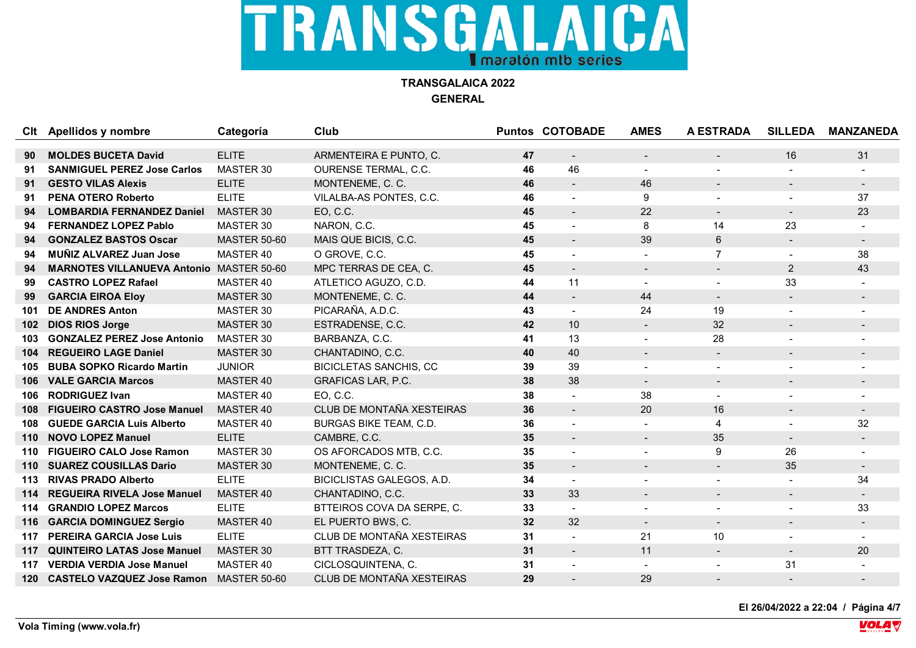

**TRANSGALAICA 2022 GENERAL**

|     | Clt Apellidos y nombre                      | Categoría           | Club                          |    | <b>Puntos COTOBADE</b>   | <b>AMES</b>              | <b>A ESTRADA</b>         | <b>SILLEDA</b> | <b>MANZANEDA</b> |
|-----|---------------------------------------------|---------------------|-------------------------------|----|--------------------------|--------------------------|--------------------------|----------------|------------------|
|     |                                             |                     |                               |    |                          |                          |                          |                |                  |
| 90  | <b>MOLDES BUCETA David</b>                  | <b>ELITE</b>        | ARMENTEIRA E PUNTO, C.        | 47 | $\blacksquare$           |                          |                          | 16             | 31               |
| 91  | <b>SANMIGUEL PEREZ Jose Carlos</b>          | MASTER 30           | <b>OURENSE TERMAL, C.C.</b>   | 46 | 46                       | $\blacksquare$           |                          |                |                  |
| 91  | <b>GESTO VILAS Alexis</b>                   | <b>ELITE</b>        | MONTENEME, C. C.              | 46 | $\blacksquare$           | 46                       | $\overline{\phantom{0}}$ |                |                  |
| 91  | <b>PENA OTERO Roberto</b>                   | <b>ELITE</b>        | VILALBA-AS PONTES, C.C.       | 46 |                          | 9                        |                          |                | 37               |
| 94  | <b>LOMBARDIA FERNANDEZ Daniel</b>           | MASTER 30           | EO, C.C.                      | 45 | $\overline{\phantom{0}}$ | 22                       | $\overline{\phantom{a}}$ |                | 23               |
| 94  | <b>FERNANDEZ LOPEZ Pablo</b>                | MASTER 30           | NARON, C.C.                   | 45 | $\overline{a}$           | 8                        | 14                       | 23             |                  |
| 94  | <b>GONZALEZ BASTOS Oscar</b>                | <b>MASTER 50-60</b> | MAIS QUE BICIS, C.C.          | 45 | $\blacksquare$           | 39                       | 6                        | $\sim$         |                  |
| 94  | <b>MUÑIZ ALVAREZ Juan Jose</b>              | MASTER 40           | O GROVE, C.C.                 | 45 | $\overline{\phantom{0}}$ |                          | $\overline{7}$           |                | 38               |
| 94  | <b>MARNOTES VILLANUEVA Antonio</b>          | <b>MASTER 50-60</b> | MPC TERRAS DE CEA, C.         | 45 | $\blacksquare$           | $\blacksquare$           | $\blacksquare$           | $\overline{2}$ | 43               |
| 99  | <b>CASTRO LOPEZ Rafael</b>                  | MASTER 40           | ATLETICO AGUZO, C.D.          | 44 | 11                       | $\blacksquare$           | $\blacksquare$           | 33             |                  |
| 99  | <b>GARCIA EIROA Eloy</b>                    | MASTER 30           | MONTENEME, C. C.              | 44 | $\blacksquare$           | 44                       | $\blacksquare$           | $\sim$         |                  |
| 101 | <b>DE ANDRES Anton</b>                      | MASTER 30           | PICARAÑA, A.D.C.              | 43 | $\blacksquare$           | 24                       | 19                       |                |                  |
| 102 | <b>DIOS RIOS Jorge</b>                      | MASTER 30           | ESTRADENSE, C.C.              | 42 | 10 <sup>°</sup>          | $\blacksquare$           | 32                       | $\blacksquare$ |                  |
| 103 | <b>GONZALEZ PEREZ Jose Antonio</b>          | MASTER 30           | BARBANZA, C.C.                | 41 | 13                       | $\overline{\phantom{0}}$ | 28                       |                |                  |
| 104 | <b>REGUEIRO LAGE Daniel</b>                 | MASTER 30           | CHANTADINO, C.C.              | 40 | 40                       | $\overline{\phantom{0}}$ | $\blacksquare$           |                |                  |
| 105 | <b>BUBA SOPKO Ricardo Martin</b>            | <b>JUNIOR</b>       | <b>BICICLETAS SANCHIS, CC</b> | 39 | 39                       | $\sim$                   | $\overline{a}$           |                |                  |
| 106 | <b>VALE GARCIA Marcos</b>                   | MASTER 40           | GRAFICAS LAR, P.C.            | 38 | 38                       | $\overline{\phantom{a}}$ |                          |                |                  |
| 106 | <b>RODRIGUEZ Ivan</b>                       | MASTER 40           | EO, C.C.                      | 38 |                          | 38                       |                          |                |                  |
| 108 | <b>FIGUEIRO CASTRO Jose Manuel</b>          | MASTER 40           | CLUB DE MONTAÑA XESTEIRAS     | 36 | $\blacksquare$           | 20                       | 16                       |                |                  |
| 108 | <b>GUEDE GARCIA Luis Alberto</b>            | MASTER 40           | <b>BURGAS BIKE TEAM, C.D.</b> | 36 | $\blacksquare$           | $\overline{\phantom{0}}$ | 4                        |                | 32               |
| 110 | <b>NOVO LOPEZ Manuel</b>                    | <b>ELITE</b>        | CAMBRE, C.C.                  | 35 | $\blacksquare$           | $\overline{\phantom{a}}$ | 35                       | $\blacksquare$ |                  |
| 110 | <b>FIGUEIRO CALO Jose Ramon</b>             | MASTER 30           | OS AFORCADOS MTB, C.C.        | 35 | $\overline{\phantom{0}}$ |                          | 9                        | 26             |                  |
| 110 | <b>SUAREZ COUSILLAS Dario</b>               | MASTER 30           | MONTENEME, C. C.              | 35 | $\blacksquare$           | $\blacksquare$           | $\blacksquare$           | 35             |                  |
| 113 | <b>RIVAS PRADO Alberto</b>                  | <b>ELITE</b>        | BICICLISTAS GALEGOS, A.D.     | 34 | $\overline{\phantom{0}}$ |                          |                          |                | 34               |
| 114 | <b>REGUEIRA RIVELA Jose Manuel</b>          | MASTER 40           | CHANTADINO, C.C.              | 33 | 33                       | $\overline{\phantom{a}}$ | $\overline{\phantom{a}}$ | $\blacksquare$ |                  |
| 114 | <b>GRANDIO LOPEZ Marcos</b>                 | <b>ELITE</b>        | BTTEIROS COVA DA SERPE, C.    | 33 | $\blacksquare$           | $\blacksquare$           |                          |                | 33               |
| 116 | <b>GARCIA DOMINGUEZ Sergio</b>              | MASTER 40           | EL PUERTO BWS, C.             | 32 | 32                       | $\blacksquare$           | $\blacksquare$           |                |                  |
| 117 | <b>PEREIRA GARCIA Jose Luis</b>             | <b>ELITE</b>        | CLUB DE MONTAÑA XESTEIRAS     | 31 |                          | 21                       | 10                       |                |                  |
| 117 | <b>QUINTEIRO LATAS Jose Manuel</b>          | MASTER 30           | BTT TRASDEZA, C.              | 31 | $\blacksquare$           | 11                       | $\blacksquare$           | $\blacksquare$ | 20               |
| 117 | <b>VERDIA VERDIA Jose Manuel</b>            | MASTER 40           | CICLOSQUINTENA, C.            | 31 | $\overline{a}$           | $\blacksquare$           |                          | 31             |                  |
|     | 120 CASTELO VAZQUEZ Jose Ramon MASTER 50-60 |                     | CLUB DE MONTAÑA XESTEIRAS     | 29 |                          | 29                       |                          |                |                  |

**El 26/04/2022 a 22:04 / Página 4/7**

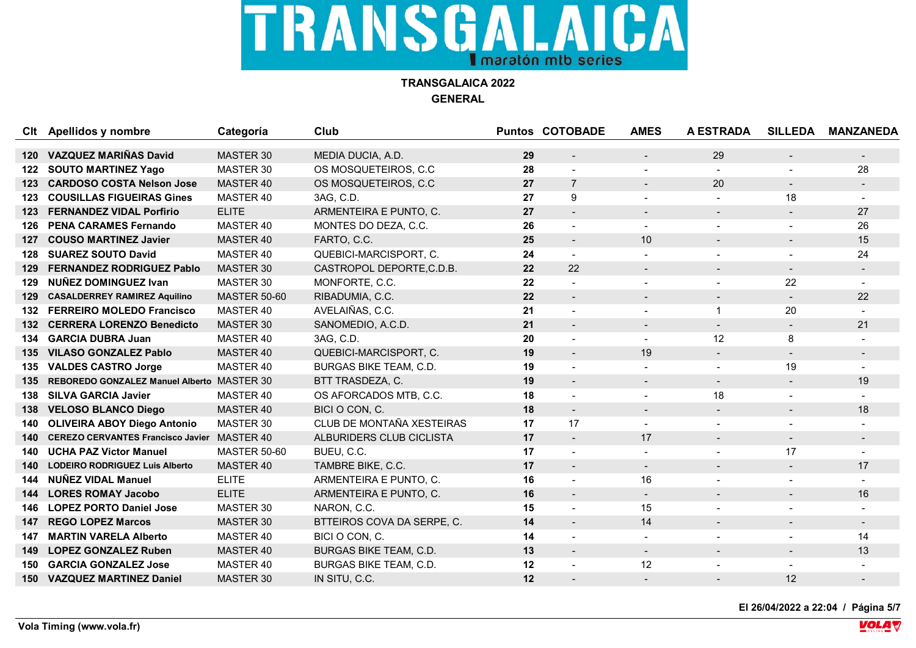**TRANSGALAICA 2022 GENERAL**

|      | Clt Apellidos y nombre                     | Categoría           | Club                          |    | <b>Puntos COTOBADE</b>   | <b>AMES</b>              | <b>A ESTRADA</b>         | <b>SILLEDA</b>           | <b>MANZANEDA</b> |
|------|--------------------------------------------|---------------------|-------------------------------|----|--------------------------|--------------------------|--------------------------|--------------------------|------------------|
|      |                                            |                     |                               |    |                          |                          |                          |                          |                  |
| 120  | <b>VAZQUEZ MARIÑAS David</b>               | MASTER 30           | MEDIA DUCIA, A.D.             | 29 | $\overline{\phantom{a}}$ |                          | 29                       |                          |                  |
| 122  | <b>SOUTO MARTINEZ Yago</b>                 | MASTER 30           | OS MOSQUETEIROS, C.C.         | 28 |                          |                          | $\overline{a}$           |                          | 28               |
| 123  | <b>CARDOSO COSTA Nelson Jose</b>           | MASTER 40           | OS MOSQUETEIROS, C.C.         | 27 | $\overline{7}$           | $\blacksquare$           | 20                       | $\blacksquare$           |                  |
| 123  | <b>COUSILLAS FIGUEIRAS Gines</b>           | MASTER 40           | 3AG, C.D.                     | 27 | 9                        |                          |                          | 18                       |                  |
| 123  | <b>FERNANDEZ VIDAL Porfirio</b>            | <b>ELITE</b>        | ARMENTEIRA E PUNTO, C.        | 27 | $\blacksquare$           | $\overline{\phantom{a}}$ | $\overline{\phantom{a}}$ | $\overline{\phantom{0}}$ | 27               |
| 126  | <b>PENA CARAMES Fernando</b>               | MASTER 40           | MONTES DO DEZA, C.C.          | 26 | $\blacksquare$           | $\blacksquare$           |                          |                          | 26               |
| 127  | <b>COUSO MARTINEZ Javier</b>               | MASTER 40           | FARTO, C.C.                   | 25 | $\blacksquare$           | 10                       |                          |                          | 15               |
| 128  | <b>SUAREZ SOUTO David</b>                  | MASTER 40           | QUEBICI-MARCISPORT, C.        | 24 | $\blacksquare$           |                          |                          |                          | 24               |
| 129  | <b>FERNANDEZ RODRIGUEZ Pablo</b>           | MASTER 30           | CASTROPOL DEPORTE, C.D.B.     | 22 | 22                       | $\blacksquare$           |                          | $\sim$                   |                  |
| 129  | <b>NUÑEZ DOMINGUEZ Ivan</b>                | MASTER 30           | MONFORTE, C.C.                | 22 |                          |                          |                          | 22                       |                  |
| 129  | <b>CASALDERREY RAMIREZ Aquilino</b>        | <b>MASTER 50-60</b> | RIBADUMIA, C.C.               | 22 | $\overline{\phantom{a}}$ | $\overline{\phantom{0}}$ | $\overline{\phantom{a}}$ |                          | 22               |
| 132  | <b>FERREIRO MOLEDO Francisco</b>           | MASTER 40           | AVELAIÑAS, C.C.               | 21 | $\blacksquare$           |                          | $\mathbf{1}$             | 20                       |                  |
| 132  | <b>CERRERA LORENZO Benedicto</b>           | MASTER 30           | SANOMEDIO, A.C.D.             | 21 | $\blacksquare$           |                          | $\blacksquare$           | $\overline{\phantom{0}}$ | 21               |
| 134  | <b>GARCIA DUBRA Juan</b>                   | MASTER 40           | 3AG, C.D.                     | 20 |                          | $\sim$                   | 12                       | 8                        |                  |
| 135  | <b>VILASO GONZALEZ Pablo</b>               | MASTER 40           | QUEBICI-MARCISPORT, C.        | 19 | $\blacksquare$           | 19                       |                          |                          |                  |
| 135. | <b>VALDES CASTRO Jorge</b>                 | MASTER 40           | <b>BURGAS BIKE TEAM, C.D.</b> | 19 | $\blacksquare$           |                          |                          | 19                       |                  |
| 135  | REBOREDO GONZALEZ Manuel Alberto MASTER 30 |                     | BTT TRASDEZA, C.              | 19 | $\blacksquare$           | $\blacksquare$           | $\blacksquare$           | $\sim$                   | 19               |
| 138  | <b>SILVA GARCIA Javier</b>                 | MASTER 40           | OS AFORCADOS MTB, C.C.        | 18 |                          |                          | 18                       |                          |                  |
| 138  | <b>VELOSO BLANCO Diego</b>                 | MASTER 40           | BICI O CON, C.                | 18 | $\blacksquare$           | $\blacksquare$           |                          | $\overline{\phantom{0}}$ | 18               |
| 140  | <b>OLIVEIRA ABOY Diego Antonio</b>         | MASTER 30           | CLUB DE MONTAÑA XESTEIRAS     | 17 | 17                       | $\blacksquare$           |                          |                          |                  |
| 140  | <b>CEREZO CERVANTES Francisco Javier</b>   | MASTER 40           | ALBURIDERS CLUB CICLISTA      | 17 | $\overline{\phantom{a}}$ | 17                       |                          |                          |                  |
| 140  | <b>UCHA PAZ Victor Manuel</b>              | <b>MASTER 50-60</b> | BUEU, C.C.                    | 17 | $\sim$                   |                          |                          | 17                       |                  |
| 140  | <b>LODEIRO RODRIGUEZ Luis Alberto</b>      | MASTER 40           | TAMBRE BIKE, C.C.             | 17 | $\blacksquare$           | $\blacksquare$           | $\overline{\phantom{0}}$ | $\blacksquare$           | 17               |
| 144  | <b>NUÑEZ VIDAL Manuel</b>                  | <b>ELITE</b>        | ARMENTEIRA E PUNTO, C.        | 16 |                          | 16                       |                          |                          |                  |
| 144  | <b>LORES ROMAY Jacobo</b>                  | <b>ELITE</b>        | ARMENTEIRA E PUNTO, C.        | 16 | $\blacksquare$           | $\sim$                   | $\blacksquare$           |                          | 16               |
| 146  | <b>LOPEZ PORTO Daniel Jose</b>             | MASTER 30           | NARON, C.C.                   | 15 | $\blacksquare$           | 15                       |                          |                          |                  |
| 147  | <b>REGO LOPEZ Marcos</b>                   | MASTER 30           | BTTEIROS COVA DA SERPE, C.    | 14 | $\blacksquare$           | 14                       | $\overline{\phantom{0}}$ |                          |                  |
| 147  | <b>MARTIN VARELA Alberto</b>               | MASTER 40           | BICI O CON, C.                | 14 |                          |                          |                          |                          | 14               |
| 149  | <b>LOPEZ GONZALEZ Ruben</b>                | MASTER 40           | BURGAS BIKE TEAM, C.D.        | 13 | $\blacksquare$           | $\blacksquare$           |                          |                          | 13               |
| 150  | <b>GARCIA GONZALEZ Jose</b>                | MASTER 40           | BURGAS BIKE TEAM, C.D.        | 12 |                          | 12                       |                          |                          |                  |
| 150  | <b>VAZQUEZ MARTINEZ Daniel</b>             | MASTER 30           | IN SITU, C.C.                 | 12 |                          |                          |                          | 12                       |                  |

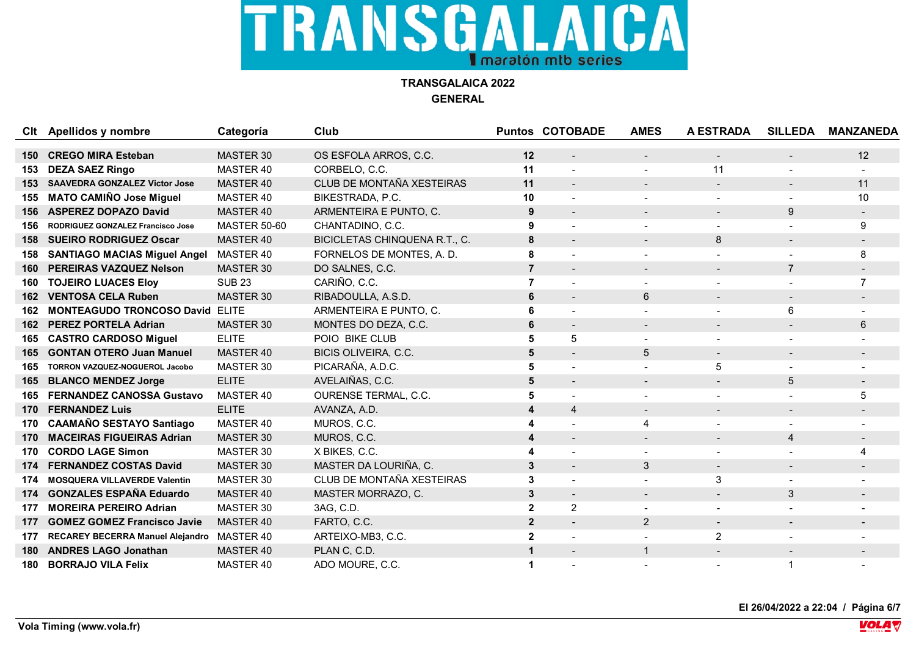

**TRANSGALAICA 2022 GENERAL**

| Clt | Apellidos y nombre                     | Categoría           | Club                          |                         | <b>Puntos COTOBADE</b>   | <b>AMES</b>              | <b>A ESTRADA</b>         | <b>SILLEDA</b>           | <b>MANZANEDA</b> |
|-----|----------------------------------------|---------------------|-------------------------------|-------------------------|--------------------------|--------------------------|--------------------------|--------------------------|------------------|
|     |                                        |                     |                               |                         |                          |                          |                          |                          |                  |
| 150 | <b>CREGO MIRA Esteban</b>              | MASTER 30           | OS ESFOLA ARROS, C.C.         | 12                      |                          |                          |                          |                          | 12               |
| 153 | <b>DEZA SAEZ Ringo</b>                 | MASTER 40           | CORBELO, C.C.                 | 11                      |                          |                          | 11                       |                          |                  |
| 153 | <b>SAAVEDRA GONZALEZ Victor Jose</b>   | MASTER 40           | CLUB DE MONTAÑA XESTEIRAS     | 11                      | $\overline{\phantom{0}}$ | $\overline{\phantom{0}}$ | $\overline{\phantom{0}}$ |                          | 11               |
| 155 | <b>MATO CAMIÑO Jose Miguel</b>         | MASTER 40           | BIKESTRADA, P.C.              | 10                      |                          |                          |                          |                          | 10               |
| 156 | <b>ASPEREZ DOPAZO David</b>            | MASTER 40           | ARMENTEIRA E PUNTO, C.        | 9                       | $\blacksquare$           |                          |                          | 9                        |                  |
| 156 | RODRIGUEZ GONZALEZ Francisco Jose      | <b>MASTER 50-60</b> | CHANTADINO, C.C.              | 9                       | $\overline{\phantom{0}}$ |                          |                          |                          | 9                |
| 158 | <b>SUEIRO RODRIGUEZ Oscar</b>          | MASTER 40           | BICICLETAS CHINQUENA R.T., C. | 8                       | $\overline{\phantom{a}}$ |                          | 8                        |                          |                  |
| 158 | <b>SANTIAGO MACIAS Miguel Angel</b>    | MASTER 40           | FORNELOS DE MONTES, A. D.     | 8                       |                          |                          |                          |                          | 8                |
| 160 | PEREIRAS VAZQUEZ Nelson                | <b>MASTER 30</b>    | DO SALNES, C.C.               | $\overline{7}$          |                          |                          |                          | $\overline{7}$           |                  |
| 160 | <b>TOJEIRO LUACES Eloy</b>             | <b>SUB 23</b>       | CARIÑO, C.C.                  | $\overline{7}$          |                          |                          |                          |                          | $\overline{7}$   |
| 162 | <b>VENTOSA CELA Ruben</b>              | MASTER 30           | RIBADOULLA, A.S.D.            | 6                       |                          | 6                        |                          |                          |                  |
| 162 | <b>MONTEAGUDO TRONCOSO David ELITE</b> |                     | ARMENTEIRA E PUNTO, C.        | 6                       |                          |                          |                          | 6                        |                  |
| 162 | <b>PEREZ PORTELA Adrian</b>            | MASTER 30           | MONTES DO DEZA, C.C.          | 6                       |                          |                          |                          |                          | 6                |
| 165 | <b>CASTRO CARDOSO Miguel</b>           | <b>ELITE</b>        | POIO BIKE CLUB                | 5                       | 5                        |                          |                          |                          |                  |
| 165 | <b>GONTAN OTERO Juan Manuel</b>        | MASTER 40           | BICIS OLIVEIRA, C.C.          | $5\phantom{1}$          | $\overline{\phantom{a}}$ | 5                        | $\blacksquare$           |                          |                  |
| 165 | TORRON VAZQUEZ-NOGUEROL Jacobo         | MASTER 30           | PICARAÑA, A.D.C.              | 5                       |                          |                          | 5                        |                          |                  |
| 165 | <b>BLANCO MENDEZ Jorge</b>             | <b>ELITE</b>        | AVELAIÑAS, C.C.               | 5                       |                          |                          |                          | 5                        |                  |
| 165 | <b>FERNANDEZ CANOSSA Gustavo</b>       | MASTER 40           | OURENSE TERMAL, C.C.          | 5                       |                          |                          |                          |                          | 5                |
| 170 | <b>FERNANDEZ Luis</b>                  | <b>ELITE</b>        | AVANZA, A.D.                  | $\overline{\mathbf{4}}$ | $\overline{4}$           | $\blacksquare$           | $\overline{\phantom{0}}$ | $\overline{\phantom{0}}$ |                  |
| 170 | <b>CAAMAÑO SESTAYO Santiago</b>        | MASTER 40           | MUROS, C.C.                   | 4                       |                          | 4                        |                          |                          |                  |
| 170 | <b>MACEIRAS FIGUEIRAS Adrian</b>       | <b>MASTER 30</b>    | MUROS, C.C.                   | 4                       | $\blacksquare$           |                          |                          | 4                        |                  |
| 170 | <b>CORDO LAGE Simon</b>                | MASTER 30           | X BIKES, C.C.                 |                         |                          |                          |                          |                          |                  |
| 174 | <b>FERNANDEZ COSTAS David</b>          | MASTER 30           | MASTER DA LOURIÑA, C.         | 3                       | $\blacksquare$           | 3                        | $\blacksquare$           | $\overline{\phantom{0}}$ |                  |
| 174 | <b>MOSQUERA VILLAVERDE Valentin</b>    | MASTER 30           | CLUB DE MONTAÑA XESTEIRAS     | 3                       |                          |                          | 3                        |                          |                  |
| 174 | <b>GONZALES ESPAÑA Eduardo</b>         | MASTER 40           | MASTER MORRAZO, C.            | $\mathbf{3}$            | $\blacksquare$           | $\blacksquare$           | $\overline{\phantom{0}}$ | $\mathbf{3}$             |                  |
| 177 | <b>MOREIRA PEREIRO Adrian</b>          | MASTER 30           | 3AG, C.D.                     | $\overline{2}$          | $\overline{2}$           |                          |                          |                          |                  |
| 177 | <b>GOMEZ GOMEZ Francisco Javie</b>     | MASTER 40           | FARTO, C.C.                   | $\overline{2}$          | $\blacksquare$           | $\overline{2}$           | $\overline{\phantom{0}}$ |                          |                  |
| 177 | RECAREY BECERRA Manuel Alejandro       | MASTER 40           | ARTEIXO-MB3, C.C.             | $\overline{2}$          |                          |                          | $\overline{2}$           |                          |                  |
| 180 | <b>ANDRES LAGO Jonathan</b>            | MASTER 40           | PLAN C, C.D.                  | $\mathbf 1$             |                          |                          |                          |                          |                  |
| 180 | <b>BORRAJO VILA Felix</b>              | MASTER 40           | ADO MOURE, C.C.               | 1                       |                          |                          |                          |                          |                  |